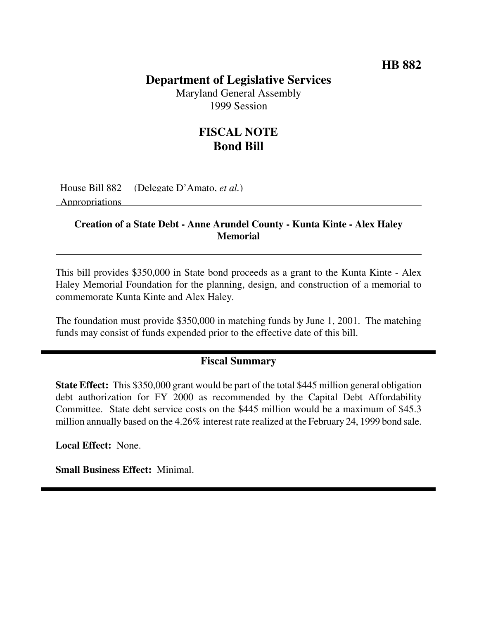# **HB 882**

# **Department of Legislative Services**

Maryland General Assembly 1999 Session

# **FISCAL NOTE Bond Bill**

House Bill 882 (Delegate D'Amato, *et al.*) Appropriations

#### **Creation of a State Debt - Anne Arundel County - Kunta Kinte - Alex Haley Memorial**

This bill provides \$350,000 in State bond proceeds as a grant to the Kunta Kinte - Alex Haley Memorial Foundation for the planning, design, and construction of a memorial to commemorate Kunta Kinte and Alex Haley.

The foundation must provide \$350,000 in matching funds by June 1, 2001. The matching funds may consist of funds expended prior to the effective date of this bill.

### **Fiscal Summary**

**State Effect:** This \$350,000 grant would be part of the total \$445 million general obligation debt authorization for FY 2000 as recommended by the Capital Debt Affordability Committee. State debt service costs on the \$445 million would be a maximum of \$45.3 million annually based on the 4.26% interest rate realized at the February 24, 1999 bond sale.

**Local Effect:** None.

**Small Business Effect:** Minimal.